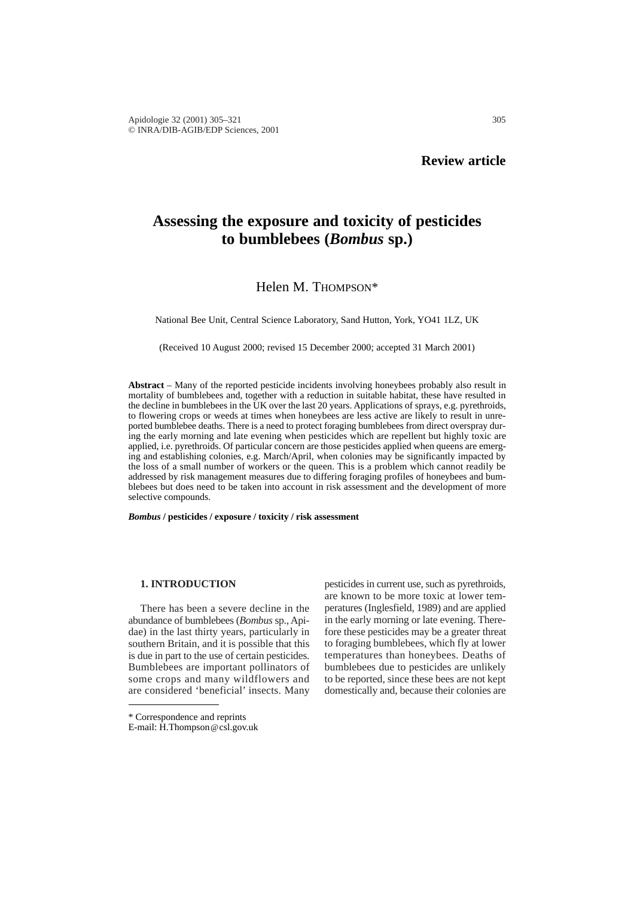# **Assessing the exposure and toxicity of pesticides to bumblebees (***Bombus* **sp.)**

# Helen M. THOMPSON\*

National Bee Unit, Central Science Laboratory, Sand Hutton, York, YO41 1LZ, UK

(Received 10 August 2000; revised 15 December 2000; accepted 31 March 2001)

**Abstract** – Many of the reported pesticide incidents involving honeybees probably also result in mortality of bumblebees and, together with a reduction in suitable habitat, these have resulted in the decline in bumblebees in the UK over the last 20 years. Applications of sprays, e.g. pyrethroids, to flowering crops or weeds at times when honeybees are less active are likely to result in unreported bumblebee deaths. There is a need to protect foraging bumblebees from direct overspray during the early morning and late evening when pesticides which are repellent but highly toxic are applied, i.e. pyrethroids. Of particular concern are those pesticides applied when queens are emerging and establishing colonies, e.g. March/April, when colonies may be significantly impacted by the loss of a small number of workers or the queen. This is a problem which cannot readily be addressed by risk management measures due to differing foraging profiles of honeybees and bumblebees but does need to be taken into account in risk assessment and the development of more selective compounds.

*Bombus* **/ pesticides / exposure / toxicity / risk assessment**

# **1. INTRODUCTION**

There has been a severe decline in the abundance of bumblebees (*Bombus* sp., Apidae) in the last thirty years, particularly in southern Britain, and it is possible that this is due in part to the use of certain pesticides. Bumblebees are important pollinators of some crops and many wildflowers and are considered 'beneficial' insects. Many

pesticides in current use, such as pyrethroids, are known to be more toxic at lower temperatures (Inglesfield, 1989) and are applied in the early morning or late evening. Therefore these pesticides may be a greater threat to foraging bumblebees, which fly at lower temperatures than honeybees. Deaths of bumblebees due to pesticides are unlikely to be reported, since these bees are not kept domestically and, because their colonies are

<sup>\*</sup> Correspondence and reprints

E-mail: H.Thompson@csl.gov.uk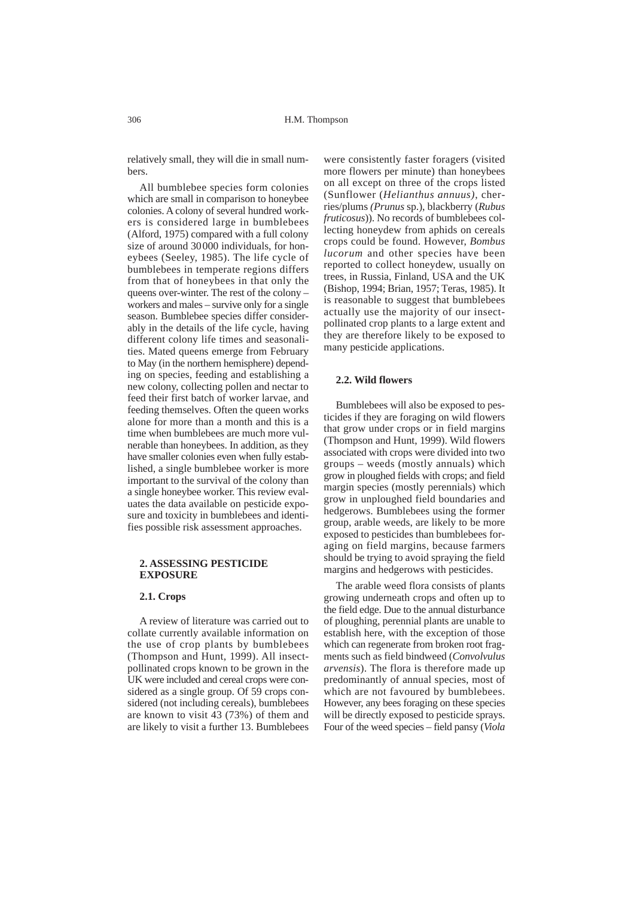relatively small, they will die in small numbers.

All bumblebee species form colonies which are small in comparison to honeybee colonies. A colony of several hundred workers is considered large in bumblebees (Alford, 1975) compared with a full colony size of around 30000 individuals, for honeybees (Seeley, 1985). The life cycle of bumblebees in temperate regions differs from that of honeybees in that only the queens over-winter. The rest of the colony – workers and males – survive only for a single season. Bumblebee species differ considerably in the details of the life cycle, having different colony life times and seasonalities. Mated queens emerge from February to May (in the northern hemisphere) depending on species, feeding and establishing a new colony, collecting pollen and nectar to feed their first batch of worker larvae, and feeding themselves. Often the queen works alone for more than a month and this is a time when bumblebees are much more vulnerable than honeybees. In addition, as they have smaller colonies even when fully established, a single bumblebee worker is more important to the survival of the colony than a single honeybee worker. This review evaluates the data available on pesticide exposure and toxicity in bumblebees and identifies possible risk assessment approaches.

#### **2. ASSESSING PESTICIDE EXPOSURE**

#### **2.1. Crops**

A review of literature was carried out to collate currently available information on the use of crop plants by bumblebees (Thompson and Hunt, 1999). All insectpollinated crops known to be grown in the UK were included and cereal crops were considered as a single group. Of 59 crops considered (not including cereals), bumblebees are known to visit 43 (73%) of them and are likely to visit a further 13. Bumblebees

were consistently faster foragers (visited more flowers per minute) than honeybees on all except on three of the crops listed (Sunflower (*Helianthus annuus)*, cherries/plums *(Prunus* sp.), blackberry (*Rubus fruticosus*)). No records of bumblebees collecting honeydew from aphids on cereals crops could be found. However, *Bombus lucorum* and other species have been reported to collect honeydew, usually on trees, in Russia, Finland, USA and the UK (Bishop, 1994; Brian, 1957; Teras, 1985). It is reasonable to suggest that bumblebees actually use the majority of our insectpollinated crop plants to a large extent and they are therefore likely to be exposed to many pesticide applications.

# **2.2. Wild flowers**

Bumblebees will also be exposed to pesticides if they are foraging on wild flowers that grow under crops or in field margins (Thompson and Hunt, 1999). Wild flowers associated with crops were divided into two groups – weeds (mostly annuals) which grow in ploughed fields with crops; and field margin species (mostly perennials) which grow in unploughed field boundaries and hedgerows. Bumblebees using the former group, arable weeds, are likely to be more exposed to pesticides than bumblebees foraging on field margins, because farmers should be trying to avoid spraying the field margins and hedgerows with pesticides.

The arable weed flora consists of plants growing underneath crops and often up to the field edge. Due to the annual disturbance of ploughing, perennial plants are unable to establish here, with the exception of those which can regenerate from broken root fragments such as field bindweed (*Convolvulus arvensis*). The flora is therefore made up predominantly of annual species, most of which are not favoured by bumblebees. However, any bees foraging on these species will be directly exposed to pesticide sprays. Four of the weed species – field pansy (*Viola*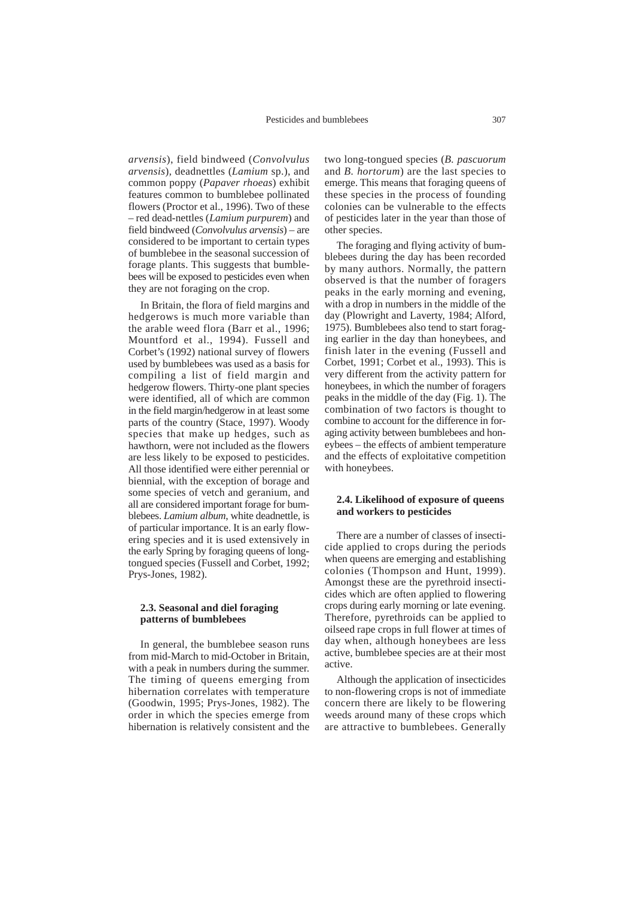*arvensis*), field bindweed (*Convolvulus arvensis*)*,* deadnettles (*Lamium* sp.), and common poppy (*Papaver rhoeas*) exhibit features common to bumblebee pollinated flowers (Proctor et al., 1996). Two of these – red dead-nettles (*Lamium purpurem*) and field bindweed (*Convolvulus arvensis*) – are considered to be important to certain types of bumblebee in the seasonal succession of forage plants. This suggests that bumblebees will be exposed to pesticides even when they are not foraging on the crop.

In Britain, the flora of field margins and hedgerows is much more variable than the arable weed flora (Barr et al., 1996; Mountford et al., 1994). Fussell and Corbet's (1992) national survey of flowers used by bumblebees was used as a basis for compiling a list of field margin and hedgerow flowers. Thirty-one plant species were identified, all of which are common in the field margin/hedgerow in at least some parts of the country (Stace, 1997). Woody species that make up hedges, such as hawthorn, were not included as the flowers are less likely to be exposed to pesticides. All those identified were either perennial or biennial, with the exception of borage and some species of vetch and geranium, and all are considered important forage for bumblebees. *Lamium album*, white deadnettle, is of particular importance. It is an early flowering species and it is used extensively in the early Spring by foraging queens of longtongued species (Fussell and Corbet, 1992; Prys-Jones, 1982).

#### **2.3. Seasonal and diel foraging patterns of bumblebees**

In general, the bumblebee season runs from mid-March to mid-October in Britain, with a peak in numbers during the summer. The timing of queens emerging from hibernation correlates with temperature (Goodwin, 1995; Prys-Jones, 1982). The order in which the species emerge from hibernation is relatively consistent and the two long-tongued species (*B. pascuorum* and *B. hortorum*) are the last species to emerge. This means that foraging queens of these species in the process of founding colonies can be vulnerable to the effects of pesticides later in the year than those of other species.

The foraging and flying activity of bumblebees during the day has been recorded by many authors. Normally, the pattern observed is that the number of foragers peaks in the early morning and evening, with a drop in numbers in the middle of the day (Plowright and Laverty, 1984; Alford, 1975). Bumblebees also tend to start foraging earlier in the day than honeybees, and finish later in the evening (Fussell and Corbet, 1991; Corbet et al., 1993). This is very different from the activity pattern for honeybees, in which the number of foragers peaks in the middle of the day (Fig. 1). The combination of two factors is thought to combine to account for the difference in foraging activity between bumblebees and honeybees – the effects of ambient temperature and the effects of exploitative competition with honeybees.

#### **2.4. Likelihood of exposure of queens and workers to pesticides**

There are a number of classes of insecticide applied to crops during the periods when queens are emerging and establishing colonies (Thompson and Hunt, 1999). Amongst these are the pyrethroid insecticides which are often applied to flowering crops during early morning or late evening. Therefore, pyrethroids can be applied to oilseed rape crops in full flower at times of day when, although honeybees are less active, bumblebee species are at their most active.

Although the application of insecticides to non-flowering crops is not of immediate concern there are likely to be flowering weeds around many of these crops which are attractive to bumblebees. Generally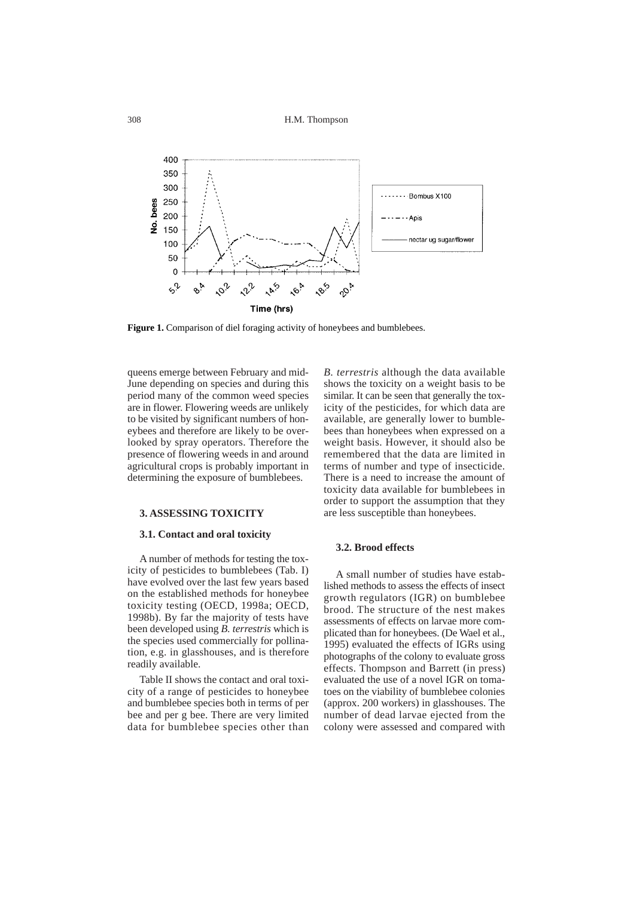

**Figure 1.** Comparison of diel foraging activity of honeybees and bumblebees.

queens emerge between February and mid-June depending on species and during this period many of the common weed species are in flower. Flowering weeds are unlikely to be visited by significant numbers of honeybees and therefore are likely to be overlooked by spray operators. Therefore the presence of flowering weeds in and around agricultural crops is probably important in determining the exposure of bumblebees.

#### **3. ASSESSING TOXICITY**

#### **3.1. Contact and oral toxicity**

A number of methods for testing the toxicity of pesticides to bumblebees (Tab. I) have evolved over the last few years based on the established methods for honeybee toxicity testing (OECD, 1998a; OECD, 1998b). By far the majority of tests have been developed using *B. terrestris* which is the species used commercially for pollination, e.g. in glasshouses, and is therefore readily available.

Table II shows the contact and oral toxicity of a range of pesticides to honeybee and bumblebee species both in terms of per bee and per g bee. There are very limited data for bumblebee species other than

*B. terrestris* although the data available shows the toxicity on a weight basis to be similar. It can be seen that generally the toxicity of the pesticides, for which data are available, are generally lower to bumblebees than honeybees when expressed on a weight basis. However, it should also be remembered that the data are limited in terms of number and type of insecticide. There is a need to increase the amount of toxicity data available for bumblebees in order to support the assumption that they are less susceptible than honeybees.

# **3.2. Brood effects**

A small number of studies have established methods to assess the effects of insect growth regulators (IGR) on bumblebee brood. The structure of the nest makes assessments of effects on larvae more complicated than for honeybees. (De Wael et al., 1995) evaluated the effects of IGRs using photographs of the colony to evaluate gross effects. Thompson and Barrett (in press) evaluated the use of a novel IGR on tomatoes on the viability of bumblebee colonies (approx. 200 workers) in glasshouses. The number of dead larvae ejected from the colony were assessed and compared with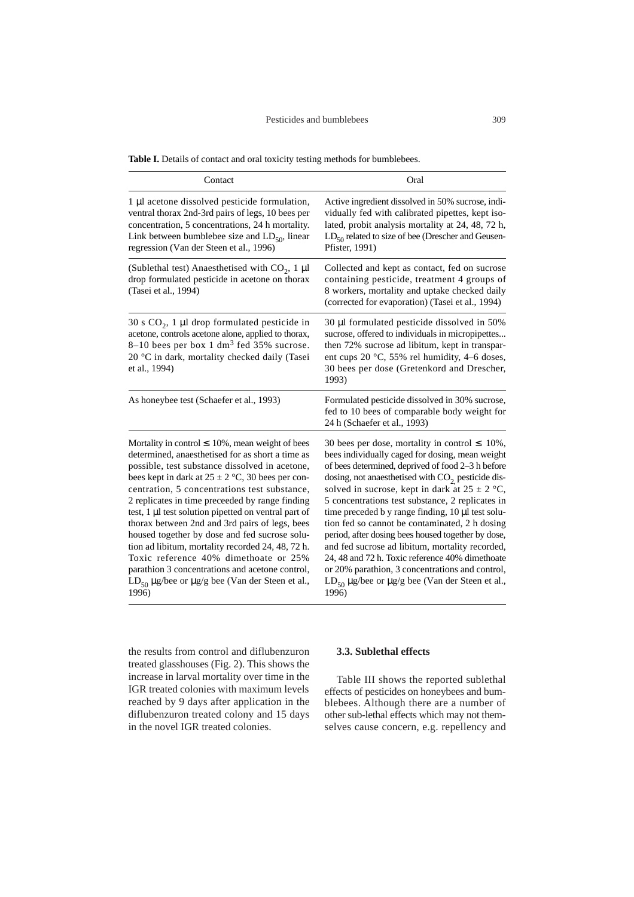#### Pesticides and bumblebees 309

| Contact                                                                                                                                                                                                                                                                                                                                                                                                                                                                                                                                                                                                                                                                                                      | Oral                                                                                                                                                                                                                                                                                                                                                                                                                                                                                                                                                                                                                                                                                                                        |
|--------------------------------------------------------------------------------------------------------------------------------------------------------------------------------------------------------------------------------------------------------------------------------------------------------------------------------------------------------------------------------------------------------------------------------------------------------------------------------------------------------------------------------------------------------------------------------------------------------------------------------------------------------------------------------------------------------------|-----------------------------------------------------------------------------------------------------------------------------------------------------------------------------------------------------------------------------------------------------------------------------------------------------------------------------------------------------------------------------------------------------------------------------------------------------------------------------------------------------------------------------------------------------------------------------------------------------------------------------------------------------------------------------------------------------------------------------|
| 1 µl acetone dissolved pesticide formulation,<br>ventral thorax 2nd-3rd pairs of legs, 10 bees per<br>concentration, 5 concentrations, 24 h mortality.<br>Link between bumblebee size and $LD_{50}$ , linear<br>regression (Van der Steen et al., 1996)                                                                                                                                                                                                                                                                                                                                                                                                                                                      | Active ingredient dissolved in 50% sucrose, indi-<br>vidually fed with calibrated pipettes, kept iso-<br>lated, probit analysis mortality at 24, 48, 72 h,<br>$LD_{50}$ related to size of bee (Drescher and Geusen-<br>Pfister, 1991)                                                                                                                                                                                                                                                                                                                                                                                                                                                                                      |
| (Sublethal test) Anaesthetised with $CO_2$ , 1 µl<br>drop formulated pesticide in acetone on thorax<br>(Tasei et al., 1994)                                                                                                                                                                                                                                                                                                                                                                                                                                                                                                                                                                                  | Collected and kept as contact, fed on sucrose<br>containing pesticide, treatment 4 groups of<br>8 workers, mortality and uptake checked daily<br>(corrected for evaporation) (Tasei et al., 1994)                                                                                                                                                                                                                                                                                                                                                                                                                                                                                                                           |
| 30 s $CO2$ , 1 µl drop formulated pesticide in<br>acetone, controls acetone alone, applied to thorax,<br>8-10 bees per box 1 dm <sup>3</sup> fed 35% sucrose.<br>20 °C in dark, mortality checked daily (Tasei<br>et al., 1994)                                                                                                                                                                                                                                                                                                                                                                                                                                                                              | 30 µl formulated pesticide dissolved in 50%<br>sucrose, offered to individuals in micropipettes<br>then 72% sucrose ad libitum, kept in transpar-<br>ent cups $20 °C$ , 55% rel humidity, 4–6 doses,<br>30 bees per dose (Gretenkord and Drescher,<br>1993)                                                                                                                                                                                                                                                                                                                                                                                                                                                                 |
| As honeybee test (Schaefer et al., 1993)                                                                                                                                                                                                                                                                                                                                                                                                                                                                                                                                                                                                                                                                     | Formulated pesticide dissolved in 30% sucrose,<br>fed to 10 bees of comparable body weight for<br>24 h (Schaefer et al., 1993)                                                                                                                                                                                                                                                                                                                                                                                                                                                                                                                                                                                              |
| Mortality in control $\leq 10\%$ , mean weight of bees<br>determined, anaesthetised for as short a time as<br>possible, test substance dissolved in acetone,<br>bees kept in dark at $25 \pm 2$ °C, 30 bees per con-<br>centration, 5 concentrations test substance,<br>2 replicates in time preceeded by range finding<br>test, 1 µl test solution pipetted on ventral part of<br>thorax between 2nd and 3rd pairs of legs, bees<br>housed together by dose and fed sucrose solu-<br>tion ad libitum, mortality recorded 24, 48, 72 h.<br>Toxic reference 40% dimethoate or 25%<br>parathion 3 concentrations and acetone control,<br>$LD_{50} \mu g$ /bee or $\mu g/g$ bee (Van der Steen et al.,<br>1996) | 30 bees per dose, mortality in control $\leq 10\%$ ,<br>bees individually caged for dosing, mean weight<br>of bees determined, deprived of food 2–3 h before<br>dosing, not anaesthetised with $CO2$ pesticide dis-<br>solved in sucrose, kept in dark at $25 \pm 2$ °C,<br>5 concentrations test substance, 2 replicates in<br>time preceded b y range finding, 10 µl test solu-<br>tion fed so cannot be contaminated, 2 h dosing<br>period, after dosing bees housed together by dose,<br>and fed sucrose ad libitum, mortality recorded,<br>24, 48 and 72 h. Toxic reference 40% dimethoate<br>or 20% parathion, 3 concentrations and control,<br>$LD_{50} \mu g/$ bee or $\mu g/g$ bee (Van der Steen et al.,<br>1996) |

the results from control and diflubenzuron treated glasshouses (Fig. 2). This shows the increase in larval mortality over time in the IGR treated colonies with maximum levels reached by 9 days after application in the diflubenzuron treated colony and 15 days in the novel IGR treated colonies.

# **3.3. Sublethal effects**

Table III shows the reported sublethal effects of pesticides on honeybees and bumblebees. Although there are a number of other sub-lethal effects which may not themselves cause concern, e.g. repellency and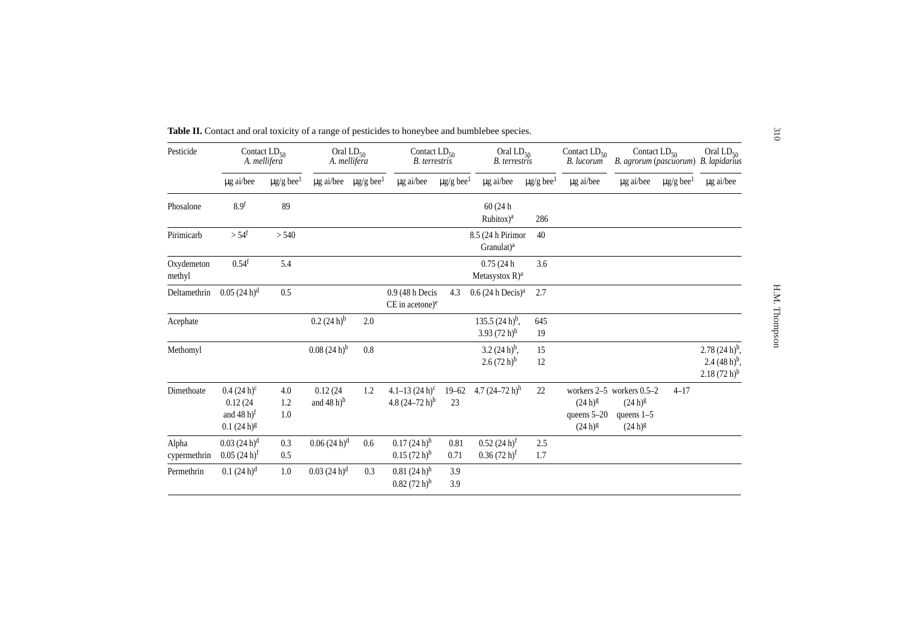| Pesticide             | Contact $LD_{50}$<br>A. mellifera                              |                            | Oral $LD_{50}$<br>A. mellifera     |                            | Contact $LD_{50}$<br><b>B.</b> terrestris              |                            | Oral $LD_{50}$<br><b>B.</b> terrestris      |                            | Contact $LD_{50}$<br>B. lucorum             | Contact $LD_{50}$<br>B. agrorum (pascuorum) B. lapidarius                 |                            | Oral $LD_{50}$                                             |
|-----------------------|----------------------------------------------------------------|----------------------------|------------------------------------|----------------------------|--------------------------------------------------------|----------------------------|---------------------------------------------|----------------------------|---------------------------------------------|---------------------------------------------------------------------------|----------------------------|------------------------------------------------------------|
|                       | µg ai/bee                                                      | $\mu$ g/g bee <sup>1</sup> | $\mu$ g ai/bee                     | $\mu$ g/g bee <sup>1</sup> | µg ai/bee                                              | $\mu$ g/g bee <sup>1</sup> | $\mu$ g ai/bee                              | $\mu$ g/g bee <sup>1</sup> | µg ai/bee                                   | µg ai/bee                                                                 | $\mu$ g/g bee <sup>1</sup> | µg ai/bee                                                  |
| Phosalone             | 8.9 <sup>f</sup>                                               | 89                         |                                    |                            |                                                        |                            | 60 (24h<br>$Rubitox)^a$                     | 286                        |                                             |                                                                           |                            |                                                            |
| Pirimicarb            | $> 54^f$                                                       | > 540                      |                                    |                            |                                                        |                            | 8.5 (24 h Pirimor<br>Granulat) <sup>a</sup> | 40                         |                                             |                                                                           |                            |                                                            |
| Oxydemeton<br>methyl  | 0.54 <sup>f</sup>                                              | 5.4                        |                                    |                            |                                                        |                            | 0.75(24h)<br>Metasystox $R$ <sup>a</sup>    | 3.6                        |                                             |                                                                           |                            |                                                            |
| Deltamethrin          | $0.05(24 h)^d$                                                 | 0.5                        |                                    |                            | 0.9 (48 h Decis<br>$CE$ in acetone) $e$                | 4.3                        | $0.6(24 h$ Decis) <sup>a</sup>              | 2.7                        |                                             |                                                                           |                            |                                                            |
| Acephate              |                                                                |                            | $(0.2 (24 h)^{b})$                 | 2.0                        |                                                        |                            | 135.5 $(24 h)^b$ ,<br>3.93 $(72 h)^b$       | 645<br>19                  |                                             |                                                                           |                            |                                                            |
| Methomyl              |                                                                |                            | $0.08(24 h)^{b}$                   | $0.8\,$                    |                                                        |                            | $3.2(24 h)^{b}$ ,<br>$2.6(72 h)^{b}$        | 15<br>12                   |                                             |                                                                           |                            | $2.78(24 h)^{b}$ ,<br>2.4 $(48 h)^b$ ,<br>$2.18(72 h)^{b}$ |
| Dimethoate            | $0.4(24 h)^c$<br>0.12(24)<br>and $(48 h)^f$<br>$0.1(24 h)^{g}$ | 4.0<br>1.2<br>1.0          | 0.12(24)<br>and 48 h) <sup>h</sup> | 1.2                        | 4.1–13 $(24 h)^c$<br>4.8 $(24-72 h)$ <sup>h</sup>      | $19 - 62$<br>23            | 4.7 $(24-72 h)^h$                           | 22                         | $(24 h)^{g}$<br>queens 5-20<br>$(24 h)^{g}$ | workers 2-5 workers 0.5-2<br>$(24 h)^{g}$<br>queens $1-5$<br>$(24 h)^{g}$ | $4 - 17$                   |                                                            |
| Alpha<br>cypermethrin | $0.03(24 h)^d$<br>$0.05(24 h)^f$                               | 0.3<br>0.5                 | $0.06(24 h)^d$                     | 0.6                        | $0.17(24 h)$ <sup>h</sup><br>$0.15(72 h)$ <sup>h</sup> | 0.81<br>0.71               | $0.52(24 h)^f$<br>$0.36(72 h)^f$            | 2.5<br>1.7                 |                                             |                                                                           |                            |                                                            |
| Permethrin            | $(0.1 (24 h)^d)$                                               | 1.0                        | $0.03(24 h)^d$                     | 0.3                        | $0.81(24 h)$ <sup>h</sup><br>$0.82(72 h)$ <sup>h</sup> | 3.9<br>3.9                 |                                             |                            |                                             |                                                                           |                            |                                                            |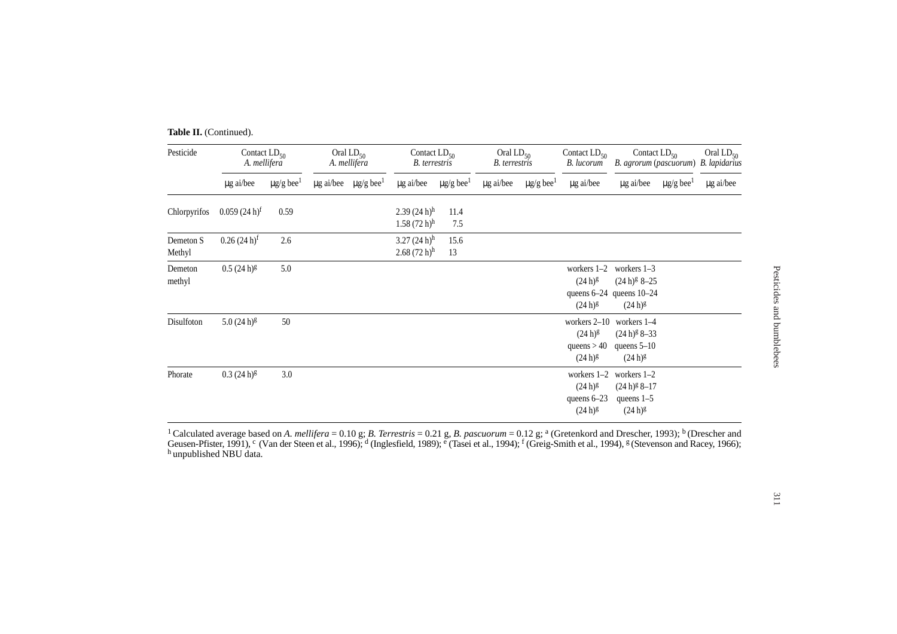Table II. (Continued).

| Pesticide           | Contact $LD_{50}$<br>A. mellifera |                            | Oral $LD_{50}$<br>A. mellifera |                                           | Contact $LD_{50}$<br>B. terrestris                     |                            | Oral $LD_{50}$<br>B. terrestris |                            | Contact $LD_{50}$<br>B. lucorum                                 | Contact $LD_{50}$<br>B. agrorum (pascuorum) B. lapidarius                      |                            | Oral $LD_{50}$ |
|---------------------|-----------------------------------|----------------------------|--------------------------------|-------------------------------------------|--------------------------------------------------------|----------------------------|---------------------------------|----------------------------|-----------------------------------------------------------------|--------------------------------------------------------------------------------|----------------------------|----------------|
|                     | $\mu$ g ai/bee                    | $\mu$ g/g bee <sup>1</sup> |                                | $\mu$ g ai/bee $\mu$ g/g bee <sup>1</sup> | µg ai/bee                                              | $\mu$ g/g bee <sup>1</sup> | µg ai/bee                       | $\mu$ g/g bee <sup>1</sup> | µg ai/bee                                                       | $\mu$ g ai/bee                                                                 | $\mu$ g/g bee <sup>1</sup> | µg ai/bee      |
| Chlorpyrifos        | $0.059(24 h)^f$                   | 0.59                       |                                |                                           | 2.39(24 h)h<br>$1.58(72 h)$ <sup>h</sup>               | 11.4<br>7.5                |                                 |                            |                                                                 |                                                                                |                            |                |
| Demeton S<br>Methyl | $0.26(24 h)^f$                    | 2.6                        |                                |                                           | $3.27(24 h)$ <sup>h</sup><br>$2.68(72 h)$ <sup>h</sup> | 15.6<br>13                 |                                 |                            |                                                                 |                                                                                |                            |                |
| Demeton<br>methyl   | $0.5(24 h)^g$                     | 5.0                        |                                |                                           |                                                        |                            |                                 |                            | workers $1-2$<br>$(24 h)^{g}$<br>$(24 h)^{g}$                   | workers $1-3$<br>$(24 h)^{g}$ 8-25<br>queens 6-24 queens 10-24<br>$(24 h)^{g}$ |                            |                |
| Disulfoton          | $5.0(24 h)^{g}$                   | 50                         |                                |                                           |                                                        |                            |                                 |                            | workers $2-10$<br>$(24 h)^{g}$<br>queens $> 40$<br>$(24 h)^{g}$ | workers 1-4<br>$(24 h)^{g} 8-33$<br>queens $5-10$<br>$(24 h)^{g}$              |                            |                |
| Phorate             | $0.3(24 h)^{g}$                   | 3.0                        |                                |                                           |                                                        |                            |                                 |                            | workers $1-2$<br>$(24 h)^{g}$<br>queens $6-23$<br>$(24 h)^{g}$  | workers $1-2$<br>$(24 h)^{g} 8-17$<br>queens $1-5$<br>$(24 h)^{g}$             |                            |                |

1 Calculated average based on *A. mellifera* = 0.10 g; *B. Terrestris* = 0.21 g, *B. pascuorum* = 0.12 g; a (Gretenkord and Drescher, 1993); b (Drescher and Geusen-Pfister, 1991), <sup>c</sup> (Van der Steen et al., 1996); <sup>d</sup> (Inglesfield, 1989); <sup>e</sup> (Tasei et al., 1994); <sup>f</sup> (Greig-Smith et al., 1994), <sup>g</sup> (Stevenson and Racey, 1966);<br><sup>h</sup> unpublished NBU data.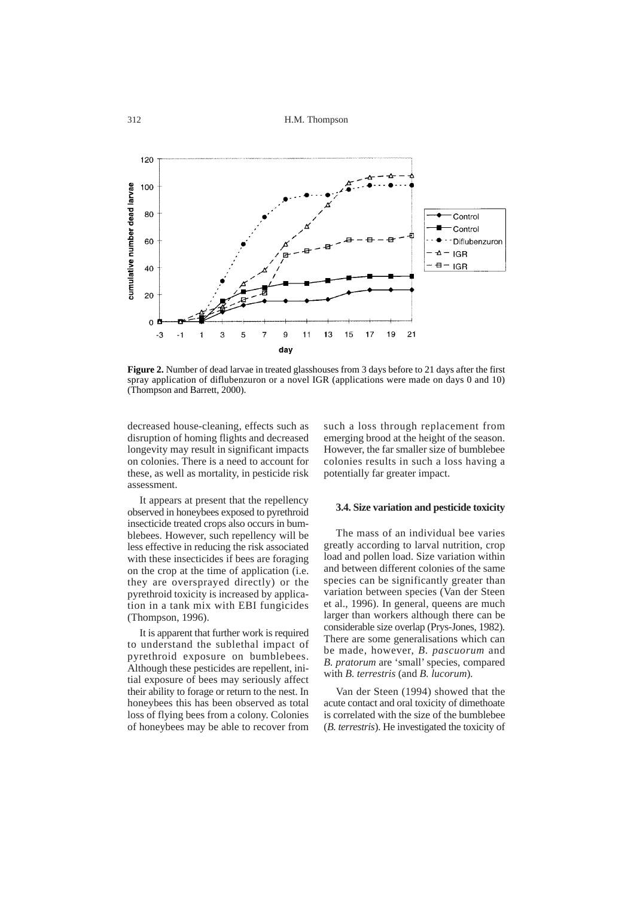312 H.M. Thompson



**Figure 2.** Number of dead larvae in treated glasshouses from 3 days before to 21 days after the first spray application of diflubenzuron or a novel IGR (applications were made on days 0 and 10) (Thompson and Barrett, 2000).

decreased house-cleaning, effects such as disruption of homing flights and decreased longevity may result in significant impacts on colonies. There is a need to account for these, as well as mortality, in pesticide risk assessment.

It appears at present that the repellency observed in honeybees exposed to pyrethroid insecticide treated crops also occurs in bumblebees. However, such repellency will be less effective in reducing the risk associated with these insecticides if bees are foraging on the crop at the time of application (i.e. they are oversprayed directly) or the pyrethroid toxicity is increased by application in a tank mix with EBI fungicides (Thompson, 1996).

It is apparent that further work is required to understand the sublethal impact of pyrethroid exposure on bumblebees. Although these pesticides are repellent, initial exposure of bees may seriously affect their ability to forage or return to the nest. In honeybees this has been observed as total loss of flying bees from a colony. Colonies of honeybees may be able to recover from

such a loss through replacement from emerging brood at the height of the season. However, the far smaller size of bumblebee colonies results in such a loss having a potentially far greater impact.

#### **3.4. Size variation and pesticide toxicity**

The mass of an individual bee varies greatly according to larval nutrition, crop load and pollen load. Size variation within and between different colonies of the same species can be significantly greater than variation between species (Van der Steen et al., 1996). In general, queens are much larger than workers although there can be considerable size overlap (Prys-Jones, 1982). There are some generalisations which can be made, however, *B. pascuorum* and *B. pratorum* are 'small' species, compared with *B. terrestris* (and *B. lucorum*)*.* 

Van der Steen (1994) showed that the acute contact and oral toxicity of dimethoate is correlated with the size of the bumblebee (*B. terrestris*). He investigated the toxicity of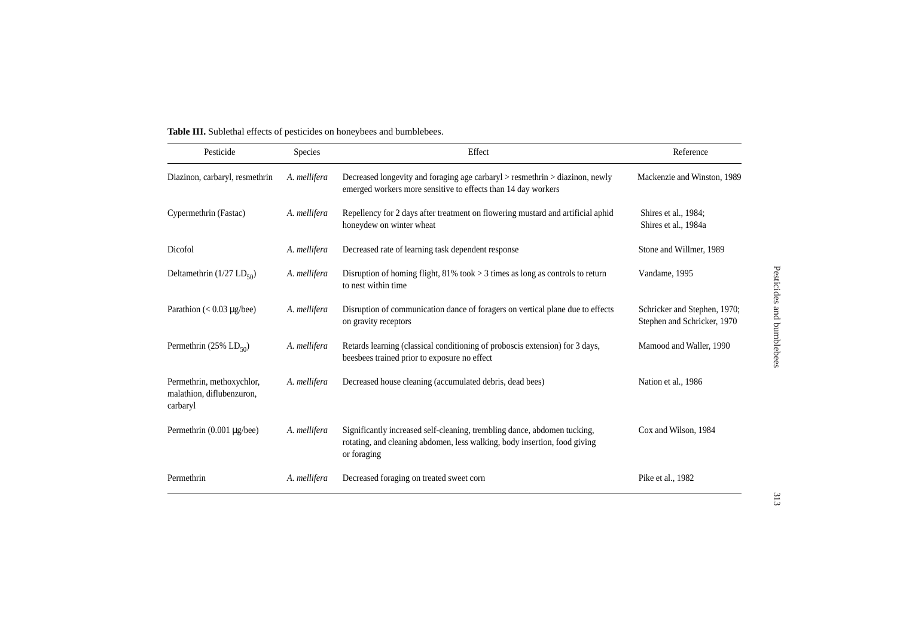| Pesticide                                                          | Species      | Effect                                                                                                                                                               | Reference                                                   |
|--------------------------------------------------------------------|--------------|----------------------------------------------------------------------------------------------------------------------------------------------------------------------|-------------------------------------------------------------|
| Diazinon, carbaryl, resmethrin                                     | A. mellifera | Decreased longevity and foraging age carbaryl $>$ resmethrin $>$ diazinon, newly<br>emerged workers more sensitive to effects than 14 day workers                    | Mackenzie and Winston, 1989                                 |
| Cypermethrin (Fastac)                                              | A. mellifera | Repellency for 2 days after treatment on flowering mustard and artificial aphid<br>honeydew on winter wheat                                                          | Shires et al., 1984;<br>Shires et al., 1984a                |
| Dicofol                                                            | A. mellifera | Decreased rate of learning task dependent response                                                                                                                   | Stone and Willmer, 1989                                     |
| Deltamethrin $(1/27$ LD <sub>50</sub> )                            | A. mellifera | Disruption of homing flight, 81% took $>$ 3 times as long as controls to return<br>to nest within time                                                               | Vandame, 1995                                               |
| Parathion $(< 0.03 \text{ µg/bee})$                                | A. mellifera | Disruption of communication dance of foragers on vertical plane due to effects<br>on gravity receptors                                                               | Schricker and Stephen, 1970;<br>Stephen and Schricker, 1970 |
| Permethrin (25% $LD_{50}$ )                                        | A. mellifera | Retards learning (classical conditioning of proboscis extension) for 3 days,<br>beesbees trained prior to exposure no effect                                         | Mamood and Waller, 1990                                     |
| Permethrin, methoxychlor,<br>malathion, diflubenzuron,<br>carbaryl | A. mellifera | Decreased house cleaning (accumulated debris, dead bees)                                                                                                             | Nation et al., 1986                                         |
| Permethrin $(0.001 \mu g/$ bee)                                    | A. mellifera | Significantly increased self-cleaning, trembling dance, abdomen tucking,<br>rotating, and cleaning abdomen, less walking, body insertion, food giving<br>or foraging | Cox and Wilson, 1984                                        |
| Permethrin                                                         | A. mellifera | Decreased foraging on treated sweet corn                                                                                                                             | Pike et al., 1982                                           |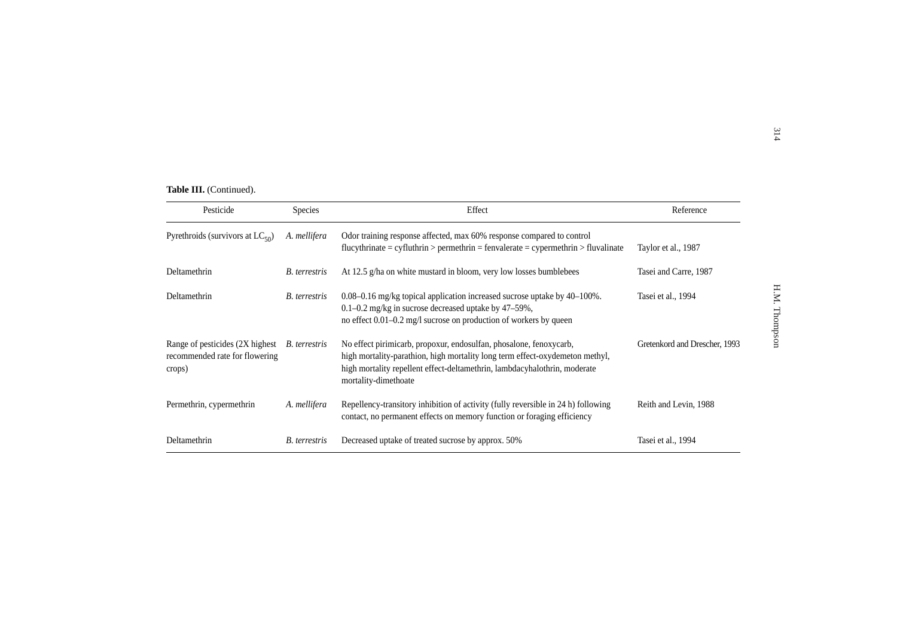|                                                                             |                      |                                                                                                                                                                                                                                                         |                               | 314           |
|-----------------------------------------------------------------------------|----------------------|---------------------------------------------------------------------------------------------------------------------------------------------------------------------------------------------------------------------------------------------------------|-------------------------------|---------------|
|                                                                             |                      |                                                                                                                                                                                                                                                         |                               |               |
| Table III. (Continued).                                                     |                      |                                                                                                                                                                                                                                                         |                               |               |
| Pesticide                                                                   | <b>Species</b>       | Effect                                                                                                                                                                                                                                                  | Reference                     |               |
| Pyrethroids (survivors at $LC_{50}$ )                                       | A. mellifera         | Odor training response affected, max 60% response compared to control<br>$flucythrinate = cyfluthrin > permethrin = fenvalerate = cypermethrin > fluvalinate$                                                                                           | Taylor et al., 1987           |               |
| Deltamethrin                                                                | <b>B.</b> terrestris | At 12.5 g/ha on white mustard in bloom, very low losses bumblebees                                                                                                                                                                                      | Tasei and Carre, 1987         |               |
| Deltamethrin                                                                | <b>B.</b> terrestris | 0.08–0.16 mg/kg topical application increased sucrose uptake by 40–100%.<br>0.1-0.2 mg/kg in sucrose decreased uptake by 47-59%,<br>no effect 0.01–0.2 mg/l sucrose on production of workers by queen                                                   | Tasei et al., 1994            | H.M. Thompson |
| Range of pesticides (2X highest<br>recommended rate for flowering<br>crops) | B. terrestris        | No effect pirimicarb, propoxur, endosulfan, phosalone, fenoxycarb,<br>high mortality-parathion, high mortality long term effect-oxydemeton methyl,<br>high mortality repellent effect-deltamethrin, lambdacyhalothrin, moderate<br>mortality-dimethoate | Gretenkord and Drescher, 1993 |               |
| Permethrin, cypermethrin                                                    | A. mellifera         | Repellency-transitory inhibition of activity (fully reversible in 24 h) following<br>contact, no permanent effects on memory function or foraging efficiency                                                                                            | Reith and Levin, 1988         |               |
| Deltamethrin                                                                | <b>B.</b> terrestris | Decreased uptake of treated sucrose by approx. 50%                                                                                                                                                                                                      | Tasei et al., 1994            |               |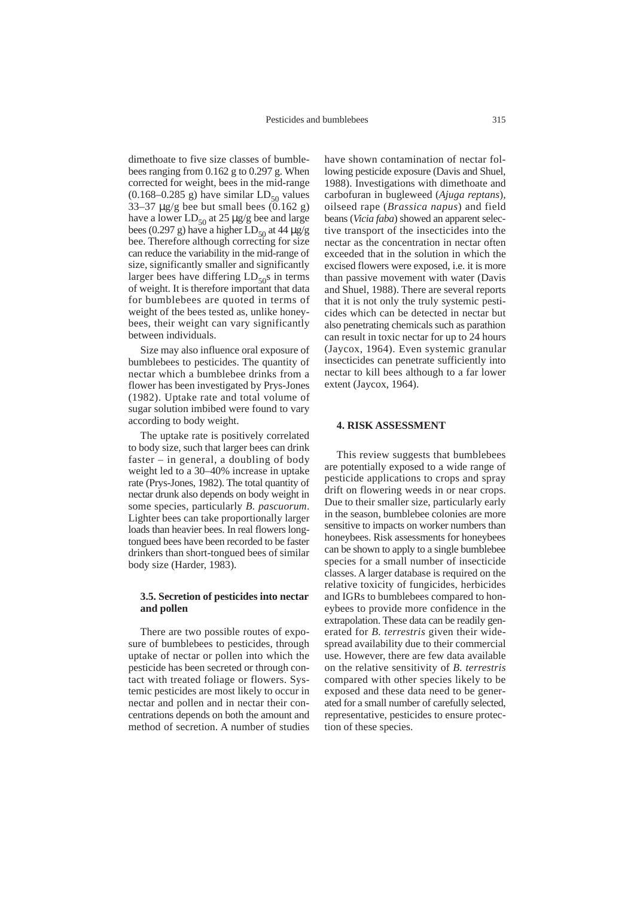dimethoate to five size classes of bumblebees ranging from 0.162 g to 0.297 g. When corrected for weight, bees in the mid-range  $(0.168-0.285 \text{ g})$  have similar  $LD_{50}$  values 33–37  $\mu$ g/g bee but small bees (0.162 g) have a lower  $LD_{50}$  at 25  $\mu$ g/g bee and large bees (0.297 g) have a higher  $LD_{50}$  at 44  $\mu$ g/g bee. Therefore although correcting for size can reduce the variability in the mid-range of size, significantly smaller and significantly larger bees have differing  $LD_{50}$ s in terms of weight. It is therefore important that data for bumblebees are quoted in terms of weight of the bees tested as, unlike honeybees, their weight can vary significantly between individuals.

Size may also influence oral exposure of bumblebees to pesticides. The quantity of nectar which a bumblebee drinks from a flower has been investigated by Prys-Jones (1982). Uptake rate and total volume of sugar solution imbibed were found to vary according to body weight.

The uptake rate is positively correlated to body size, such that larger bees can drink faster – in general, a doubling of body weight led to a 30–40% increase in uptake rate (Prys-Jones, 1982). The total quantity of nectar drunk also depends on body weight in some species, particularly *B. pascuorum*. Lighter bees can take proportionally larger loads than heavier bees. In real flowers longtongued bees have been recorded to be faster drinkers than short-tongued bees of similar body size (Harder, 1983).

# **3.5. Secretion of pesticides into nectar and pollen**

There are two possible routes of exposure of bumblebees to pesticides, through uptake of nectar or pollen into which the pesticide has been secreted or through contact with treated foliage or flowers. Systemic pesticides are most likely to occur in nectar and pollen and in nectar their concentrations depends on both the amount and method of secretion. A number of studies have shown contamination of nectar following pesticide exposure (Davis and Shuel, 1988). Investigations with dimethoate and carbofuran in bugleweed (*Ajuga reptans*)*,* oilseed rape (*Brassica napus*) and field beans (*Vicia faba*) showed an apparent selective transport of the insecticides into the nectar as the concentration in nectar often exceeded that in the solution in which the excised flowers were exposed, i.e. it is more than passive movement with water (Davis and Shuel, 1988). There are several reports that it is not only the truly systemic pesticides which can be detected in nectar but also penetrating chemicals such as parathion can result in toxic nectar for up to 24 hours (Jaycox, 1964). Even systemic granular insecticides can penetrate sufficiently into nectar to kill bees although to a far lower extent (Jaycox, 1964).

#### **4. RISK ASSESSMENT**

This review suggests that bumblebees are potentially exposed to a wide range of pesticide applications to crops and spray drift on flowering weeds in or near crops. Due to their smaller size, particularly early in the season, bumblebee colonies are more sensitive to impacts on worker numbers than honeybees. Risk assessments for honeybees can be shown to apply to a single bumblebee species for a small number of insecticide classes. A larger database is required on the relative toxicity of fungicides, herbicides and IGRs to bumblebees compared to honeybees to provide more confidence in the extrapolation. These data can be readily generated for *B. terrestris* given their widespread availability due to their commercial use. However, there are few data available on the relative sensitivity of *B. terrestris* compared with other species likely to be exposed and these data need to be generated for a small number of carefully selected, representative, pesticides to ensure protection of these species.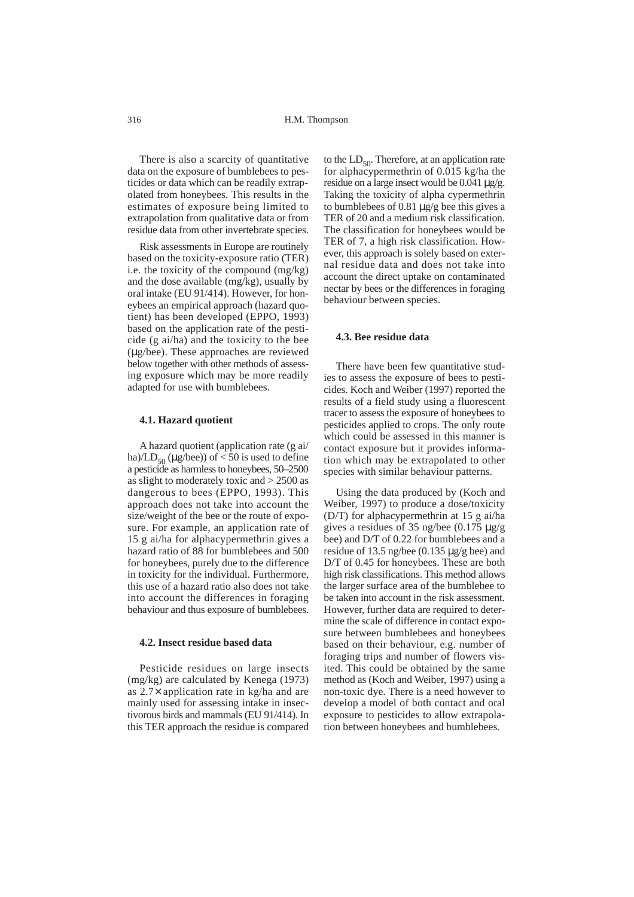There is also a scarcity of quantitative data on the exposure of bumblebees to pesticides or data which can be readily extrapolated from honeybees. This results in the estimates of exposure being limited to extrapolation from qualitative data or from residue data from other invertebrate species.

Risk assessments in Europe are routinely based on the toxicity-exposure ratio (TER) i.e. the toxicity of the compound (mg/kg) and the dose available (mg/kg), usually by oral intake (EU 91/414). However, for honeybees an empirical approach (hazard quotient) has been developed (EPPO, 1993) based on the application rate of the pesticide (g ai/ha) and the toxicity to the bee (µg/bee). These approaches are reviewed below together with other methods of assessing exposure which may be more readily adapted for use with bumblebees.

#### **4.1. Hazard quotient**

A hazard quotient (application rate (g ai/ ha)/LD<sub>50</sub> ( $\mu$ g/bee)) of < 50 is used to define a pesticide as harmless to honeybees, 50–2500 as slight to moderately toxic and > 2500 as dangerous to bees (EPPO, 1993). This approach does not take into account the size/weight of the bee or the route of exposure. For example, an application rate of 15 g ai/ha for alphacypermethrin gives a hazard ratio of 88 for bumblebees and 500 for honeybees, purely due to the difference in toxicity for the individual. Furthermore, this use of a hazard ratio also does not take into account the differences in foraging behaviour and thus exposure of bumblebees.

#### **4.2. Insect residue based data**

Pesticide residues on large insects (mg/kg) are calculated by Kenega (1973) as 2.7× application rate in kg/ha and are mainly used for assessing intake in insectivorous birds and mammals (EU 91/414). In this TER approach the residue is compared to the  $LD_{50}$ . Therefore, at an application rate for alphacypermethrin of 0.015 kg/ha the residue on a large insect would be 0.041 µg/g. Taking the toxicity of alpha cypermethrin to bumblebees of 0.81 µg/g bee this gives a TER of 20 and a medium risk classification. The classification for honeybees would be TER of 7, a high risk classification. However, this approach is solely based on external residue data and does not take into account the direct uptake on contaminated nectar by bees or the differences in foraging behaviour between species.

#### **4.3. Bee residue data**

There have been few quantitative studies to assess the exposure of bees to pesticides. Koch and Weiber (1997) reported the results of a field study using a fluorescent tracer to assess the exposure of honeybees to pesticides applied to crops. The only route which could be assessed in this manner is contact exposure but it provides information which may be extrapolated to other species with similar behaviour patterns.

Using the data produced by (Koch and Weiber, 1997) to produce a dose/toxicity (D/T) for alphacypermethrin at 15 g ai/ha gives a residues of 35 ng/bee  $(0.175 \text{ µg/g})$ bee) and D/T of 0.22 for bumblebees and a residue of 13.5 ng/bee (0.135 µg/g bee) and D/T of 0.45 for honeybees. These are both high risk classifications. This method allows the larger surface area of the bumblebee to be taken into account in the risk assessment. However, further data are required to determine the scale of difference in contact exposure between bumblebees and honeybees based on their behaviour, e.g. number of foraging trips and number of flowers visited. This could be obtained by the same method as (Koch and Weiber, 1997) using a non-toxic dye. There is a need however to develop a model of both contact and oral exposure to pesticides to allow extrapolation between honeybees and bumblebees.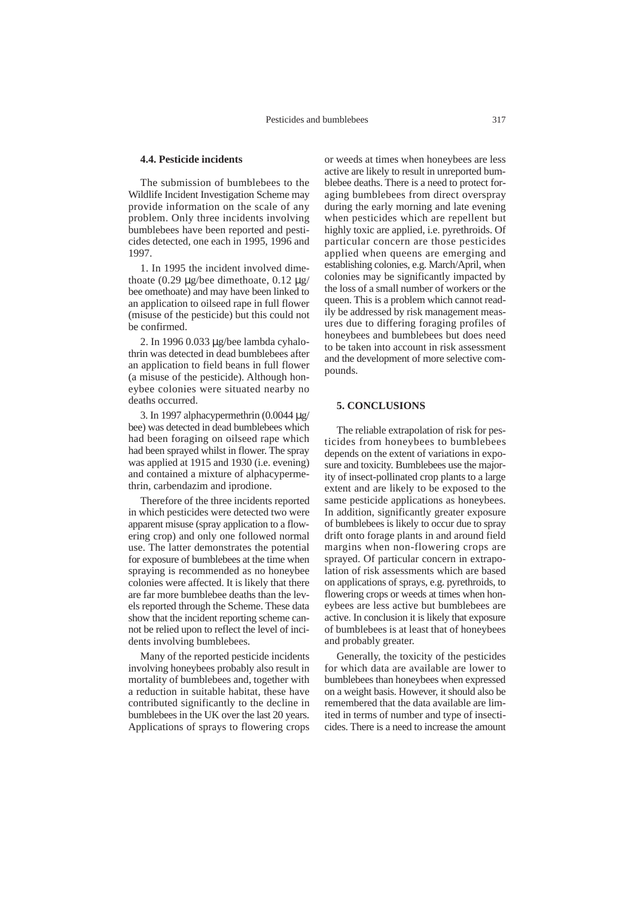### **4.4. Pesticide incidents**

The submission of bumblebees to the Wildlife Incident Investigation Scheme may provide information on the scale of any problem. Only three incidents involving bumblebees have been reported and pesticides detected, one each in 1995, 1996 and 1997.

1. In 1995 the incident involved dimethoate  $(0.29 \text{ µg/bee}$  dimethoate,  $0.12 \text{ µg/}$ bee omethoate) and may have been linked to an application to oilseed rape in full flower (misuse of the pesticide) but this could not be confirmed.

2. In 1996 0.033 µg/bee lambda cyhalothrin was detected in dead bumblebees after an application to field beans in full flower (a misuse of the pesticide). Although honeybee colonies were situated nearby no deaths occurred.

3. In 1997 alphacypermethrin (0.0044 µg/ bee) was detected in dead bumblebees which had been foraging on oilseed rape which had been sprayed whilst in flower. The spray was applied at 1915 and 1930 (i.e. evening) and contained a mixture of alphacypermethrin, carbendazim and iprodione.

Therefore of the three incidents reported in which pesticides were detected two were apparent misuse (spray application to a flowering crop) and only one followed normal use. The latter demonstrates the potential for exposure of bumblebees at the time when spraying is recommended as no honeybee colonies were affected. It is likely that there are far more bumblebee deaths than the levels reported through the Scheme. These data show that the incident reporting scheme cannot be relied upon to reflect the level of incidents involving bumblebees.

Many of the reported pesticide incidents involving honeybees probably also result in mortality of bumblebees and, together with a reduction in suitable habitat, these have contributed significantly to the decline in bumblebees in the UK over the last 20 years. Applications of sprays to flowering crops or weeds at times when honeybees are less active are likely to result in unreported bumblebee deaths. There is a need to protect foraging bumblebees from direct overspray during the early morning and late evening when pesticides which are repellent but highly toxic are applied, i.e. pyrethroids. Of particular concern are those pesticides applied when queens are emerging and establishing colonies, e.g. March/April, when colonies may be significantly impacted by the loss of a small number of workers or the queen. This is a problem which cannot readily be addressed by risk management measures due to differing foraging profiles of honeybees and bumblebees but does need to be taken into account in risk assessment and the development of more selective compounds.

#### **5. CONCLUSIONS**

The reliable extrapolation of risk for pesticides from honeybees to bumblebees depends on the extent of variations in exposure and toxicity. Bumblebees use the majority of insect-pollinated crop plants to a large extent and are likely to be exposed to the same pesticide applications as honeybees. In addition, significantly greater exposure of bumblebees is likely to occur due to spray drift onto forage plants in and around field margins when non-flowering crops are sprayed. Of particular concern in extrapolation of risk assessments which are based on applications of sprays, e.g. pyrethroids, to flowering crops or weeds at times when honeybees are less active but bumblebees are active. In conclusion it is likely that exposure of bumblebees is at least that of honeybees and probably greater.

Generally, the toxicity of the pesticides for which data are available are lower to bumblebees than honeybees when expressed on a weight basis. However, it should also be remembered that the data available are limited in terms of number and type of insecticides. There is a need to increase the amount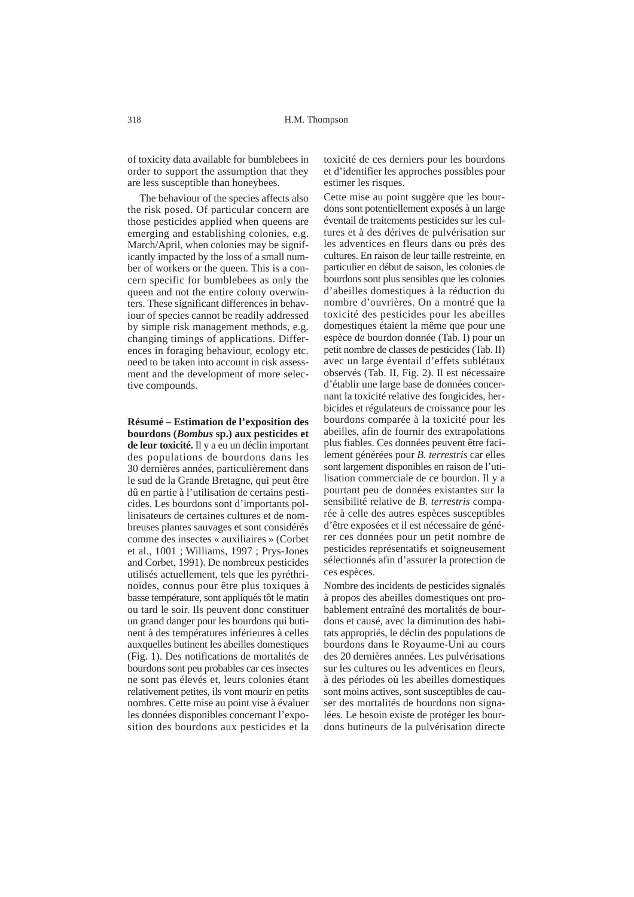of toxicity data available for bumblebees in order to support the assumption that they are less susceptible than honeybees.

The behaviour of the species affects also the risk posed. Of particular concern are those pesticides applied when queens are emerging and establishing colonies, e.g. March/April, when colonies may be significantly impacted by the loss of a small number of workers or the queen. This is a concern specific for bumblebees as only the queen and not the entire colony overwinters. These significant differences in behaviour of species cannot be readily addressed by simple risk management methods, e.g. changing timings of applications. Differences in foraging behaviour, ecology etc. need to be taken into account in risk assessment and the development of more selective compounds.

**Résumé – Estimation de l'exposition des bourdons (***Bombus* **sp.) aux pesticides et de leur toxicité.** Il y a eu un déclin important des populations de bourdons dans les 30 dernières années, particulièrement dans le sud de la Grande Bretagne, qui peut être dû en partie à l'utilisation de certains pesticides. Les bourdons sont d'importants pollinisateurs de certaines cultures et de nombreuses plantes sauvages et sont considérés comme des insectes « auxiliaires » (Corbet et al., 1001 ; Williams, 1997 ; Prys-Jones and Corbet, 1991). De nombreux pesticides utilisés actuellement, tels que les pyréthrinoïdes, connus pour être plus toxiques à basse température, sont appliqués tôt le matin ou tard le soir. Ils peuvent donc constituer un grand danger pour les bourdons qui butinent à des températures inférieures à celles auxquelles butinent les abeilles domestiques (Fig. 1). Des notifications de mortalités de bourdons sont peu probables car ces insectes ne sont pas élevés et, leurs colonies étant relativement petites, ils vont mourir en petits nombres. Cette mise au point vise à évaluer les données disponibles concernant l'exposition des bourdons aux pesticides et la toxicité de ces derniers pour les bourdons et d'identifier les approches possibles pour estimer les risques.

Cette mise au point suggère que les bourdons sont potentiellement exposés à un large éventail de traitements pesticides sur les cultures et à des dérives de pulvérisation sur les adventices en fleurs dans ou près des cultures. En raison de leur taille restreinte, en particulier en début de saison, les colonies de bourdons sont plus sensibles que les colonies d'abeilles domestiques à la réduction du nombre d'ouvrières. On a montré que la toxicité des pesticides pour les abeilles domestiques étaient la même que pour une espèce de bourdon donnée (Tab. I) pour un petit nombre de classes de pesticides (Tab. II) avec un large éventail d'effets sublétaux observés (Tab. II, Fig. 2). Il est nécessaire d'établir une large base de données concernant la toxicité relative des fongicides, herbicides et régulateurs de croissance pour les bourdons comparée à la toxicité pour les abeilles, afin de fournir des extrapolations plus fiables. Ces données peuvent être facilement générées pour *B. terrestris* car elles sont largement disponibles en raison de l'utilisation commerciale de ce bourdon. Il y a pourtant peu de données existantes sur la sensibilité relative de *B. terrestris* comparée à celle des autres espèces susceptibles d'être exposées et il est nécessaire de générer ces données pour un petit nombre de pesticides représentatifs et soigneusement sélectionnés afin d'assurer la protection de ces espèces.

Nombre des incidents de pesticides signalés à propos des abeilles domestiques ont probablement entraîné des mortalités de bourdons et causé, avec la diminution des habitats appropriés, le déclin des populations de bourdons dans le Royaume-Uni au cours des 20 dernières années. Les pulvérisations sur les cultures ou les adventices en fleurs, à des périodes où les abeilles domestiques sont moins actives, sont susceptibles de causer des mortalités de bourdons non signalées. Le besoin existe de protéger les bourdons butineurs de la pulvérisation directe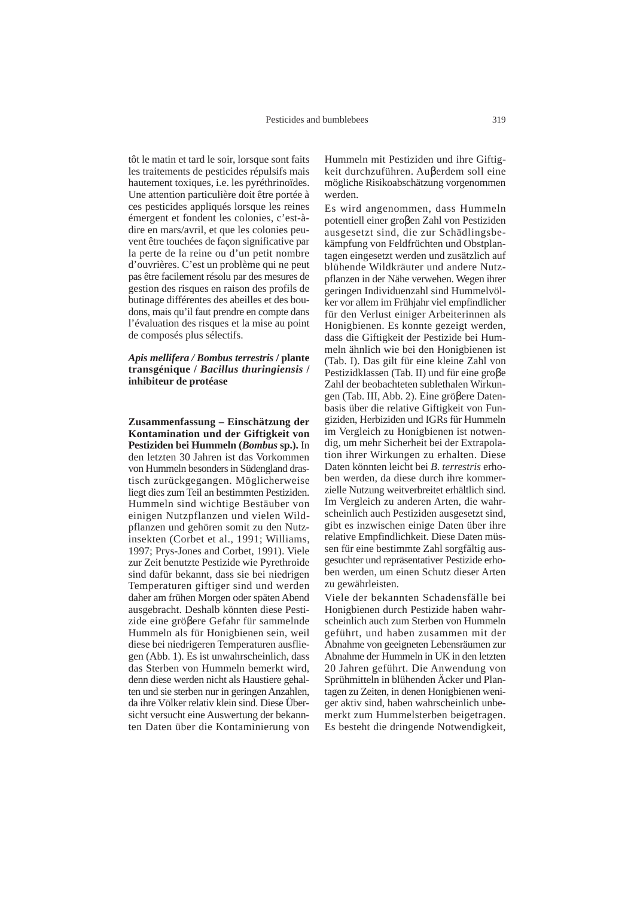tôt le matin et tard le soir, lorsque sont faits les traitements de pesticides répulsifs mais hautement toxiques, i.e. les pyréthrinoïdes. Une attention particulière doit être portée à ces pesticides appliqués lorsque les reines émergent et fondent les colonies, c'est-àdire en mars/avril, et que les colonies peuvent être touchées de façon significative par la perte de la reine ou d'un petit nombre d'ouvrières. C'est un problème qui ne peut pas être facilement résolu par des mesures de gestion des risques en raison des profils de butinage différentes des abeilles et des boudons, mais qu'il faut prendre en compte dans l'évaluation des risques et la mise au point de composés plus sélectifs.

# *Apis mellifera / Bombus terrestris* **/ plante transgénique /** *Bacillus thuringiensis* **/ inhibiteur de protéase**

**Zusammenfassung – Einschätzung der Kontamination und der Giftigkeit von Pestiziden bei Hummeln (***Bombus* **sp.).** In den letzten 30 Jahren ist das Vorkommen von Hummeln besonders in Südengland drastisch zurückgegangen. Möglicherweise liegt dies zum Teil an bestimmten Pestiziden. Hummeln sind wichtige Bestäuber von einigen Nutzpflanzen und vielen Wildpflanzen und gehören somit zu den Nutzinsekten (Corbet et al., 1991; Williams, 1997; Prys-Jones and Corbet, 1991). Viele zur Zeit benutzte Pestizide wie Pyrethroide sind dafür bekannt, dass sie bei niedrigen Temperaturen giftiger sind und werden daher am frühen Morgen oder späten Abend ausgebracht. Deshalb könnten diese Pestizide eine gröβere Gefahr für sammelnde Hummeln als für Honigbienen sein, weil diese bei niedrigeren Temperaturen ausfliegen (Abb. 1). Es ist unwahrscheinlich, dass das Sterben von Hummeln bemerkt wird, denn diese werden nicht als Haustiere gehalten und sie sterben nur in geringen Anzahlen, da ihre Völker relativ klein sind. Diese Übersicht versucht eine Auswertung der bekannten Daten über die Kontaminierung von Hummeln mit Pestiziden und ihre Giftigkeit durchzuführen. Auβerdem soll eine mögliche Risikoabschätzung vorgenommen werden.

Es wird angenommen, dass Hummeln potentiell einer groβen Zahl von Pestiziden ausgesetzt sind, die zur Schädlingsbekämpfung von Feldfrüchten und Obstplantagen eingesetzt werden und zusätzlich auf blühende Wildkräuter und andere Nutzpflanzen in der Nähe verwehen. Wegen ihrer geringen Individuenzahl sind Hummelvölker vor allem im Frühjahr viel empfindlicher für den Verlust einiger Arbeiterinnen als Honigbienen. Es konnte gezeigt werden, dass die Giftigkeit der Pestizide bei Hummeln ähnlich wie bei den Honigbienen ist (Tab. I). Das gilt für eine kleine Zahl von Pestizidklassen (Tab. II) und für eine groβe Zahl der beobachteten sublethalen Wirkungen (Tab. III, Abb. 2). Eine gröβere Datenbasis über die relative Giftigkeit von Fungiziden, Herbiziden und IGRs für Hummeln im Vergleich zu Honigbienen ist notwendig, um mehr Sicherheit bei der Extrapolation ihrer Wirkungen zu erhalten. Diese Daten könnten leicht bei *B*. *terrestris* erhoben werden, da diese durch ihre kommerzielle Nutzung weitverbreitet erhältlich sind. Im Vergleich zu anderen Arten, die wahrscheinlich auch Pestiziden ausgesetzt sind, gibt es inzwischen einige Daten über ihre relative Empfindlichkeit. Diese Daten müssen für eine bestimmte Zahl sorgfältig ausgesuchter und repräsentativer Pestizide erhoben werden, um einen Schutz dieser Arten zu gewährleisten.

Viele der bekannten Schadensfälle bei Honigbienen durch Pestizide haben wahrscheinlich auch zum Sterben von Hummeln geführt, und haben zusammen mit der Abnahme von geeigneten Lebensräumen zur Abnahme der Hummeln in UK in den letzten 20 Jahren geführt. Die Anwendung von Sprühmitteln in blühenden Äcker und Plantagen zu Zeiten, in denen Honigbienen weniger aktiv sind, haben wahrscheinlich unbemerkt zum Hummelsterben beigetragen. Es besteht die dringende Notwendigkeit,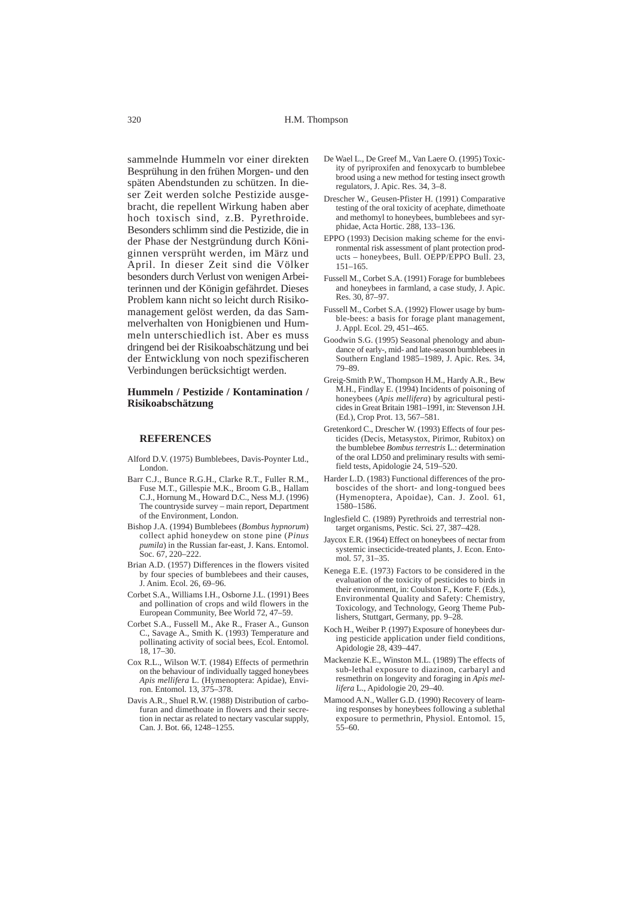sammelnde Hummeln vor einer direkten Besprühung in den frühen Morgen- und den späten Abendstunden zu schützen. In dieser Zeit werden solche Pestizide ausgebracht, die repellent Wirkung haben aber hoch toxisch sind, z.B. Pyrethroide. Besonders schlimm sind die Pestizide, die in der Phase der Nestgründung durch Königinnen versprüht werden, im März und April. In dieser Zeit sind die Völker besonders durch Verlust von wenigen Arbeiterinnen und der Königin gefährdet. Dieses Problem kann nicht so leicht durch Risikomanagement gelöst werden, da das Sammelverhalten von Honigbienen und Hummeln unterschiedlich ist. Aber es muss dringend bei der Risikoabschätzung und bei der Entwicklung von noch spezifischeren Verbindungen berücksichtigt werden.

#### **Hummeln / Pestizide / Kontamination / Risikoabschätzung**

#### **REFERENCES**

- Alford D.V. (1975) Bumblebees, Davis-Poynter Ltd., London.
- Barr C.J., Bunce R.G.H., Clarke R.T., Fuller R.M., Fuse M.T., Gillespie M.K., Broom G.B., Hallam C.J., Hornung M., Howard D.C., Ness M.J. (1996) The countryside survey – main report, Department of the Environment, London.
- Bishop J.A. (1994) Bumblebees (*Bombus hypnorum*) collect aphid honeydew on stone pine (*Pinus pumila*) in the Russian far-east, J. Kans. Entomol. Soc*.* 67, 220–222.
- Brian A.D. (1957) Differences in the flowers visited by four species of bumblebees and their causes, J. Anim. Ecol. 26, 69–96.
- Corbet S.A., Williams I.H., Osborne J.L. (1991) Bees and pollination of crops and wild flowers in the European Community, Bee World 72, 47–59.
- Corbet S.A., Fussell M., Ake R., Fraser A., Gunson C., Savage A., Smith K. (1993) Temperature and pollinating activity of social bees, Ecol. Entomol. 18, 17–30.
- Cox R.L., Wilson W.T. (1984) Effects of permethrin on the behaviour of individually tagged honeybees *Apis mellifera* L. (Hymenoptera: Apidae), Environ. Entomol. 13, 375–378.
- Davis A.R., Shuel R.W. (1988) Distribution of carbofuran and dimethoate in flowers and their secretion in nectar as related to nectary vascular supply, Can. J. Bot. 66, 1248–1255.
- De Wael L., De Greef M., Van Laere O. (1995) Toxicity of pyriproxifen and fenoxycarb to bumblebee brood using a new method for testing insect growth regulators, J. Apic. Res. 34, 3–8.
- Drescher W., Geusen-Pfister H. (1991) Comparative testing of the oral toxicity of acephate, dimethoate and methomyl to honeybees, bumblebees and syrphidae, Acta Hortic. 288, 133–136.
- EPPO (1993) Decision making scheme for the environmental risk assessment of plant protection products – honeybees, Bull. OEPP/EPPO Bull. 23, 151–165.
- Fussell M., Corbet S.A. (1991) Forage for bumblebees and honeybees in farmland, a case study, J. Apic. Res. 30, 87–97.
- Fussell M., Corbet S.A. (1992) Flower usage by bumble-bees: a basis for forage plant management, J. Appl. Ecol. 29, 451–465.
- Goodwin S.G. (1995) Seasonal phenology and abundance of early-, mid- and late-season bumblebees in Southern England 1985–1989, J. Apic. Res*.* 34, 79–89.
- Greig-Smith P.W., Thompson H.M., Hardy A.R., Bew M.H., Findlay E. (1994) Incidents of poisoning of honeybees (*Apis mellifera*) by agricultural pesticides in Great Britain 1981–1991, in: Stevenson J.H. (Ed.), Crop Prot. 13, 567–581.
- Gretenkord C., Drescher W. (1993) Effects of four pesticides (Decis, Metasystox, Pirimor, Rubitox) on the bumblebee *Bombus terrestris* L.: determination of the oral LD50 and preliminary results with semifield tests, Apidologie 24, 519–520.
- Harder L.D. (1983) Functional differences of the proboscides of the short- and long-tongued bees (Hymenoptera, Apoidae), Can. J. Zool*.* 61, 1580–1586.
- Inglesfield C. (1989) Pyrethroids and terrestrial nontarget organisms, Pestic. Sci*.* 27, 387–428.
- Jaycox E.R. (1964) Effect on honeybees of nectar from systemic insecticide-treated plants, J. Econ. Entomol*.* 57, 31–35.
- Kenega E.E. (1973) Factors to be considered in the evaluation of the toxicity of pesticides to birds in their environment, in: Coulston F., Korte F. (Eds.), Environmental Quality and Safety: Chemistry, Toxicology, and Technology, Georg Theme Publishers, Stuttgart, Germany, pp. 9–28.
- Koch H., Weiber P. (1997) Exposure of honeybees during pesticide application under field conditions, Apidologie 28, 439–447.
- Mackenzie K.E., Winston M.L. (1989) The effects of sub-lethal exposure to diazinon, carbaryl and resmethrin on longevity and foraging in *Apis mellifera* L., Apidologie 20, 29–40.
- Mamood A.N., Waller G.D. (1990) Recovery of learning responses by honeybees following a sublethal exposure to permethrin, Physiol. Entomol*.* 15, 55–60.